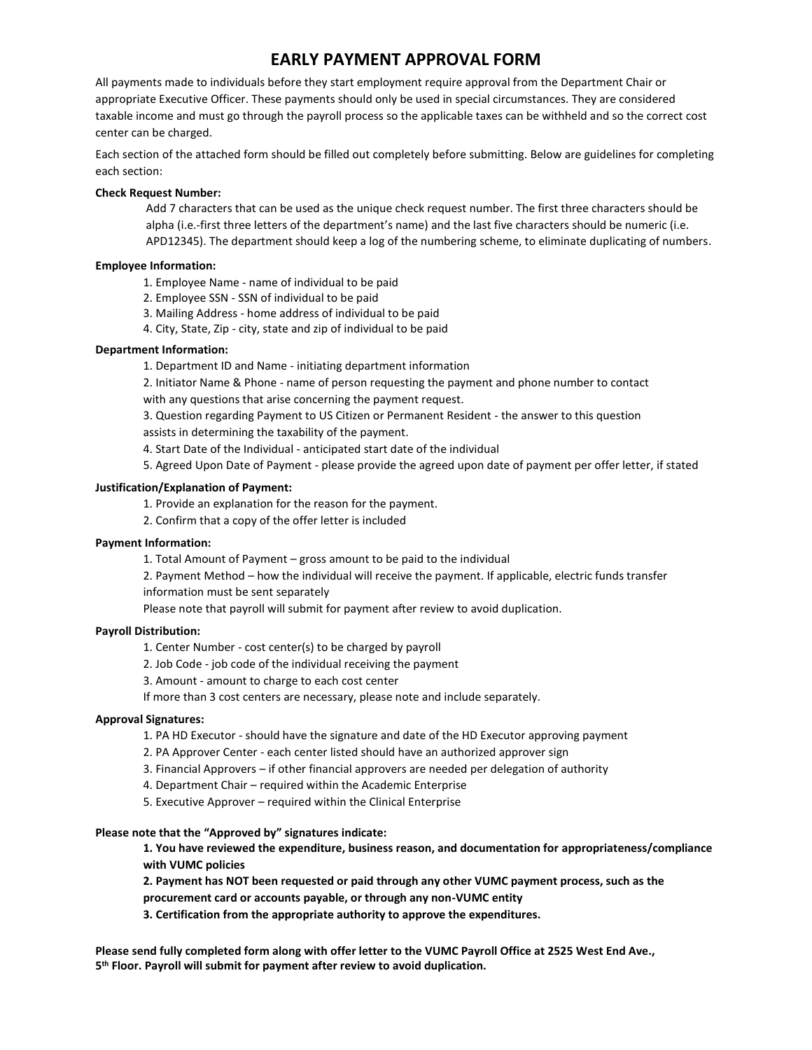# **EARLY PAYMENT APPROVAL FORM**

All payments made to individuals before they start employment require approval from the Department Chair or appropriate Executive Officer. These payments should only be used in special circumstances. They are considered taxable income and must go through the payroll process so the applicable taxes can be withheld and so the correct cost center can be charged.

Each section of the attached form should be filled out completely before submitting. Below are guidelines for completing each section:

## **Check Request Number:**

Add 7 characters that can be used as the unique check request number. The first three characters should be alpha (i.e.-first three letters of the department's name) and the last five characters should be numeric (i.e. APD12345). The department should keep a log of the numbering scheme, to eliminate duplicating of numbers.

# **Employee Information:**

- 1. Employee Name name of individual to be paid
- 2. Employee SSN SSN of individual to be paid
- 3. Mailing Address home address of individual to be paid
- 4. City, State, Zip city, state and zip of individual to be paid

## **Department Information:**

1. Department ID and Name - initiating department information

2. Initiator Name & Phone - name of person requesting the payment and phone number to contact with any questions that arise concerning the payment request.

3. Question regarding Payment to US Citizen or Permanent Resident - the answer to this question

assists in determining the taxability of the payment.

4. Start Date of the Individual - anticipated start date of the individual

5. Agreed Upon Date of Payment - please provide the agreed upon date of payment per offer letter, if stated

## **Justification/Explanation of Payment:**

1. Provide an explanation for the reason for the payment.

2. Confirm that a copy of the offer letter is included

#### **Payment Information:**

1. Total Amount of Payment – gross amount to be paid to the individual

2. Payment Method – how the individual will receive the payment. If applicable, electric funds transfer information must be sent separately

Please note that payroll will submit for payment after review to avoid duplication.

#### **Payroll Distribution:**

1. Center Number - cost center(s) to be charged by payroll

2. Job Code - job code of the individual receiving the payment

3. Amount - amount to charge to each cost center

If more than 3 cost centers are necessary, please note and include separately.

# **Approval Signatures:**

1. PA HD Executor - should have the signature and date of the HD Executor approving payment

- 2. PA Approver Center each center listed should have an authorized approver sign
- 3. Financial Approvers if other financial approvers are needed per delegation of authority
- 4. Department Chair required within the Academic Enterprise
- 5. Executive Approver required within the Clinical Enterprise

#### **Please note that the "Approved by" signatures indicate:**

**1. You have reviewed the expenditure, business reason, and documentation for appropriateness/compliance with VUMC policies**

**2. Payment has NOT been requested or paid through any other VUMC payment process, such as the procurement card or accounts payable, or through any non-VUMC entity**

**3. Certification from the appropriate authority to approve the expenditures.**

**Please send fully completed form along with offer letter to the VUMC Payroll Office at 2525 West End Ave., 5 th Floor. Payroll will submit for payment after review to avoid duplication.**